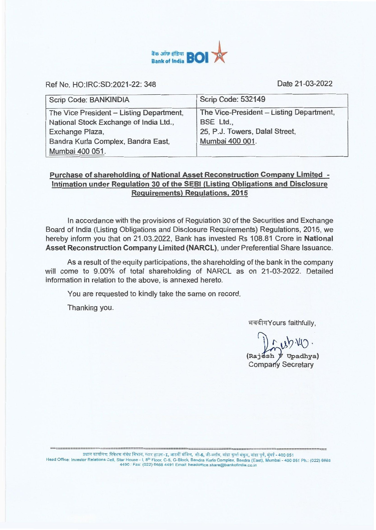

Ref No. HO:IRC:SD:2021-22: 348 Date 21-03-2022

| Scrip Code: BANKINDIA                    | Scrip Code: 532149                       |  |
|------------------------------------------|------------------------------------------|--|
| The Vice President - Listing Department, | The Vice-President - Listing Department, |  |
| National Stock Exchange of India Ltd.,   | BSE Ltd.,                                |  |
| Exchange Plaza,                          | 25, P.J. Towers, Dalal Street,           |  |
| Bandra Kurla Complex, Bandra East,       | Mumbai 400 001.                          |  |
| Mumbai 400 051.                          |                                          |  |

## **Purchase of shareholding of National Asset Reconstruction Company Limited - Intimation under Regulation 30 of the SEBI (Listing Obligations and Disclosure Requirements) Regulations, 2015**

In accordance with the provisions of Regulation 30 of the Securities and Exchange Board of India (Listing Obligations and Disclosure Requirements) Regulations, 2015, we hereby inform you that on 21.03.2022, Bank has invested Rs 108.81 Crore in **National Asset Reconstruction Company Limited (NARCL),** under Preferential Share Issuance.

As a result of the equity participations, the shareholding of the bank in the company will come to 9.00% of total shareholding of NARCL as on 21-03-2022. Detailed information in relation to the above, is annexed hereto.

You are requested to kindly take the same on record.

Thanking you.

भवदीयYours faithfully,

 $mbw$ 

**(Raj sh Upadhya)**  Company Secretary

प्रधान कार्यालय: निवेशक संबंध विभाग, स्टार हाउस-1, आठवीं मंजिल, सी-5, जी-ब्लॉक, बांद्रा कुर्ला संकुल, बांद्रा पूर्व, मुंबई - 400 051 Head Office: Investor Relations Cell, Star House - I, 8<sup>th</sup> Floor, C-5, G-Block, Bandra Kurla Complex, Bandra (East), Mumbai - 400 051 Ph.: (022) 6668<br>4490 : Fax: (022) 6668 4491 Email: headoffice.share@bankofindia.co.in